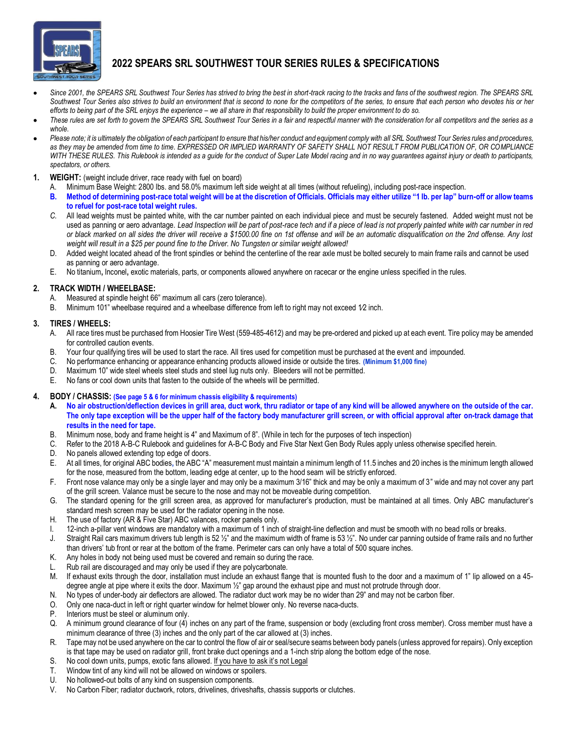

# **2022 SPEARS SRL SOUTHWEST TOUR SERIES RULES & SPECIFICATIONS**

- Since 2001, the SPEARS SRL Southwest Tour Series has strived to bring the best in short-track racing to the tracks and fans of the southwest region. The SPEARS SRL *Southwest Tour Series also strives to build an environment that is second to none for the competitors of the series, to ensure that each person who devotes his or her efforts to being part of the SRL enjoys the experience – we all share in that responsibility to build the proper environment to do so.*
- *These rules are set forth to govern the SPEARS SRL Southwest Tour Series in a fair and respectful manner with the consideration for all competitors and the series as a whole.*
- *Please note; it is ultimately the obligation of each participant to ensure that his/her conduct and equipment comply with all SRL Southwest Tour Series rules and procedures, as they may be amended from time to time. EXPRESSED OR IMPLIED WARRANTY OF SAFETY SHALL NOT RESULT FROM PUBLICATION OF, OR COMPLIANCE WITH THESE RULES. This Rulebook is intended as a guide for the conduct of Super Late Model racing and in no way guarantees against injury or death to participants, spectators, or others.*
- **1. WEIGHT:** (weight include driver, race ready with fuel on board)
	- A. Minimum Base Weight: 2800 lbs. and 58.0% maximum left side weight at all times (without refueling), including post-race inspection.
	- **B. Method of determining post-race total weight will be at the discretion of Officials. Officials may either utilize "1 lb. per lap" burn-off or allow teams to refuel for post-race total weight rules.**
	- *C.* All lead weights must be painted white, with the car number painted on each individual piece and must be securely fastened. Added weight must not be used as panning or aero advantage. *Lead Inspection will be part of post-race tech and if a piece of lead is not properly painted white with car number in red or black marked on all sides the driver will receive a \$1500.00 fine on 1st offense and will be an automatic disqualification on the 2nd offense. Any lost weight will result in a \$25 per pound fine to the Driver. No Tungsten or similar weight allowed!*
	- D. Added weight located ahead of the front spindles or behind the centerline of the rear axle must be bolted securely to main frame rails and cannot be used as panning or aero advantage.
	- E. No titanium**,** Inconel**,** exotic materials, parts, or components allowed anywhere on racecar or the engine unless specified in the rules.

#### **2. TRACK WIDTH / WHEELBASE:**

- A. Measured at spindle height 66" maximum all cars (zero tolerance).
- B. Minimum 101" wheelbase required and a wheelbase difference from left to right may not exceed 1/2 inch.

#### **3. TIRES / WHEELS:**

- A. All race tires must be purchased from Hoosier Tire West (559-485-4612) and may be pre-ordered and picked up at each event. Tire policy may be amended for controlled caution events.
- B. Your four qualifying tires will be used to start the race. All tires used for competition must be purchased at the event and impounded.
- C. No performance enhancing or appearance enhancing products allowed inside or outside the tires. **(Minimum \$1,000 fine)**
- D. Maximum 10" wide steel wheels steel studs and steel lug nuts only. Bleeders will not be permitted.
- E. No fans or cool down units that fasten to the outside of the wheels will be permitted.

#### **4. BODY / CHASSIS: (See page 5 & 6 for minimum chassis eligibility & requirements)**

- **A. No air obstruction/deflection devices in grill area, duct work, thru radiator or tape of any kind will be allowed anywhere on the outside of the car. The only tape exception will be the upper half of the factory body manufacturer grill screen, or with official approval after on-track damage that results in the need for tape.**
- B. Minimum nose, body and frame height is 4" and Maximum of 8". (While in tech for the purposes of tech inspection)
- C. Refer to the 2018 A-B-C Rulebook and guidelines for A-B-C Body and Five Star Next Gen Body Rules apply unless otherwise specified herein.
- D. No panels allowed extending top edge of doors.
- E. At all times, for original ABC bodies**,** the ABC "A" measurement must maintain a minimum length of 11.5 inches and 20 inches is the minimum length allowed for the nose, measured from the bottom, leading edge at center, up to the hood seam will be strictly enforced.
- F. Front nose valance may only be a single layer and may only be a maximum 3/16" thick and may be only a maximum of 3" wide and may not cover any part of the grill screen. Valance must be secure to the nose and may not be moveable during competition.
- G. The standard opening for the grill screen area, as approved for manufacturer's production, must be maintained at all times. Only ABC manufacturer's standard mesh screen may be used for the radiator opening in the nose.
- H. The use of factory (AR & Five Star) ABC valances, rocker panels only.
- I. 12-inch a-pillar vent windows are mandatory with a maximum of 1 inch of straight-line deflection and must be smooth with no bead rolls or breaks.
- J. Straight Rail cars maximum drivers tub length is 52 1/2" and the maximum width of frame is 53 1/2". No under car panning outside of frame rails and no further than drivers' tub front or rear at the bottom of the frame. Perimeter cars can only have a total of 500 square inches.
- K. Any holes in body not being used must be covered and remain so during the race.
- L. Rub rail are discouraged and may only be used if they are polycarbonate.
- M. If exhaust exits through the door, installation must include an exhaust flange that is mounted flush to the door and a maximum of 1" lip allowed on a 45 degree angle at pipe where it exits the door. Maximum ½" gap around the exhaust pipe and must not protrude through door.
- N. No types of under-body air deflectors are allowed. The radiator duct work may be no wider than 29" and may not be carbon fiber.
- O. Only one naca-duct in left or right quarter window for helmet blower only. No reverse naca-ducts.
- P. Interiors must be steel or aluminum only.
- Q. A minimum ground clearance of four (4) inches on any part of the frame, suspension or body (excluding front cross member). Cross member must have a minimum clearance of three (3) inches and the only part of the car allowed at (3) inches.
- R. Tape may not be used anywhere on the car to control the flow of air or seal/secure seams between body panels (unless approved for repairs). Only exception is that tape may be used on radiator grill, front brake duct openings and a 1-inch strip along the bottom edge of the nose.
- S. No cool down units, pumps, exotic fans allowed. If you have to ask it's not Legal
- T. Window tint of any kind will not be allowed on windows or spoilers.
- U. No hollowed-out bolts of any kind on suspension components.
- V. No Carbon Fiber; radiator ductwork, rotors, drivelines, driveshafts, chassis supports or clutches.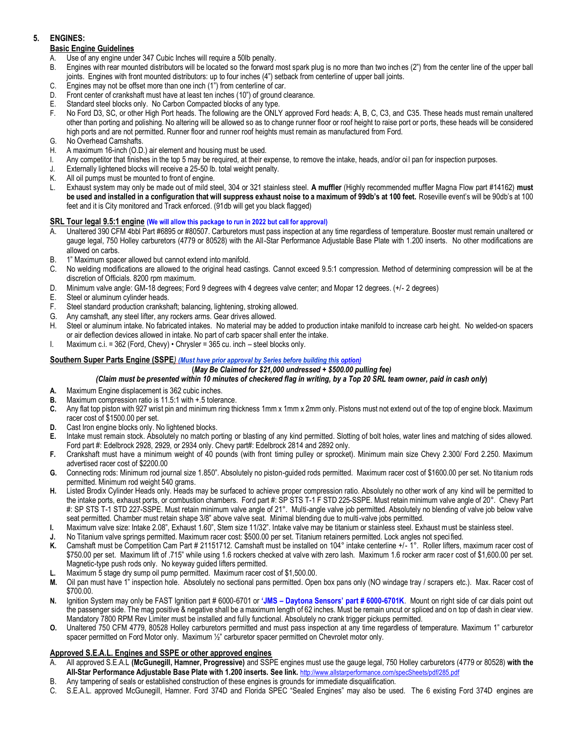# **5. ENGINES:**

# **Basic Engine Guidelines**

- A. Use of any engine under 347 Cubic Inches will require a 50lb penalty.
- B. Engines with rear mounted distributors will be located so the forward most spark plug is no more than two inches (2") from the center line of the upper ball joints. Engines with front mounted distributors: up to four inches (4") setback from centerline of upper ball joints.
- C. Engines may not be offset more than one inch (1") from centerline of car.
- D. Front center of crankshaft must have at least ten inches (10") of ground clearance.
- E. Standard steel blocks only. No Carbon Compacted blocks of any type.
- F. No Ford D3, SC, or other High Port heads. The following are the ONLY approved Ford heads: A, B, C, C3, and C35. These heads must remain unaltered other than porting and polishing. No altering will be allowed so as to change runner floor or roof height to raise port or ports, these heads will be considered high ports and are not permitted. Runner floor and runner roof heights must remain as manufactured from Ford.
- G. No Overhead Camshafts.
- H. A maximum 16-inch (O.D.) air element and housing must be used.
- I. Any competitor that finishes in the top 5 may be required, at their expense, to remove the intake, heads, and/or oi l pan for inspection purposes.
- J. Externally lightened blocks will receive a 25-50 lb. total weight penalty.
- K. All oil pumps must be mounted to front of engine.
- L. Exhaust system may only be made out of mild steel, 304 or 321 stainless steel. **A muffler** (Highly recommended muffler Magna Flow part #14162) **must be used and installed in a configuration that will suppress exhaust noise to a maximum of 99db's at 100 feet.** Roseville event's will be 90db's at 100 feet and it is City monitored and Track enforced. (91db will get you black flagged)

# **SRL Tour legal 9.5:1 engine (We will allow this package to run in 2022 but call for approval)**

- A. Unaltered 390 CFM 4bbl Part #6895 or #80507. Carburetors must pass inspection at any time regardless of temperature. Booster must remain unaltered or gauge legal, 750 Holley carburetors (4779 or 80528) with the All-Star Performance Adjustable Base Plate with 1.200 inserts. No other modifications are allowed on carbs.
- B. 1" Maximum spacer allowed but cannot extend into manifold.
- C. No welding modifications are allowed to the original head castings. Cannot exceed 9.5:1 compression. Method of determining compression will be at the discretion of Officials. 8200 rpm maximum.
- D. Minimum valve angle: GM-18 degrees; Ford 9 degrees with 4 degrees valve center; and Mopar 12 degrees. (+/- 2 degrees)
- E. Steel or aluminum cylinder heads.
- F. Steel standard production crankshaft; balancing, lightening, stroking allowed.
- G. Any camshaft, any steel lifter, any rockers arms. Gear drives allowed.<br>H. Steel or aluminum intake. No fabricated intakes. No material may be
- Steel or aluminum intake. No fabricated intakes. No material may be added to production intake manifold to increase carb hei ght. No welded-on spacers or air deflection devices allowed in intake. No part of carb spacer shall enter the intake.
- I. Maximum c.i. = 362 (Ford, Chevy) Chrysler = 365 cu. inch steel blocks only.

# **Southern Super Parts Engine (SSPE***) (Must have prior approval by Series before building this option)*

### **(***May Be Claimed for \$21,000 undressed + \$500.00 pulling fee)*

### *(Claim must be presented within 10 minutes of checkered flag in writing, by a Top 20 SRL team owner, paid in cash only***)**

- **A.** Maximum Engine displacement is 362 cubic inches.
- **B.** Maximum compression ratio is 11.5:1 with +.5 tolerance.
- **C.** Any flat top piston with 927 wrist pin and minimum ring thickness 1mm x 1mm x 2mm only. Pistons must not extend out of the top of engine block. Maximum racer cost of \$1500.00 per set.
- **D.** Cast Iron engine blocks only. No lightened blocks.
- **E.** Intake must remain stock. Absolutely no match porting or blasting of any kind permitted. Slotting of bolt holes, water lines and matching of sides allowed. Ford part #: Edelbrock 2928, 2929, or 2934 only. Chevy part#: Edelbrock 2814 and 2892 only.
- **F.** Crankshaft must have a minimum weight of 40 pounds (with front timing pulley or sprocket). Minimum main size Chevy 2.300/ Ford 2.250. Maximum advertised racer cost of \$2200.00
- **G.** Connecting rods: Minimum rod journal size 1.850". Absolutely no piston-guided rods permitted. Maximum racer cost of \$1600.00 per set. No titanium rods permitted. Minimum rod weight 540 grams.
- **H.** Listed Brodix Cylinder Heads only. Heads may be surfaced to achieve proper compression ratio. Absolutely no other work of any kind will be permitted to the intake ports, exhaust ports, or combustion chambers. Ford part #: SP STS T-1 F STD 225-SSPE. Must retain minimum valve angle of 20°. Chevy Part #: SP STS T-1 STD 227-SSPE. Must retain minimum valve angle of 21°. Multi-angle valve job permitted. Absolutely no blending of valve job below valve seat permitted. Chamber must retain shape 3/8" above valve seat. Minimal blending due to multi-valve jobs permitted.
- **I.** Maximum valve size: Intake 2.08", Exhaust 1.60", Stem size 11/32". Intake valve may be titanium or stainless steel. Exhaust must be stainless steel.
- **J.** No Titanium valve springs permitted. Maximum racer cost: \$500.00 per set. Titanium retainers permitted. Lock angles not specified.
- K. Camshaft must be Competition Cam Part # 21151712. Camshaft must be installed on 104° intake centerline +/-1°. Roller lifters, maximum racer cost of \$750.00 per set. Maximum lift of .715" while using 1.6 rockers checked at valve with zero lash. Maximum 1.6 rocker arm racer cost of \$1,600.00 per set. Magnetic-type push rods only. No keyway guided lifters permitted.
- **L.** Maximum 5 stage dry sump oil pump permitted. Maximum racer cost of \$1,500.00.
- **M.** Oil pan must have 1" inspection hole. Absolutely no sectional pans permitted. Open box pans only (NO windage tray / scrapers etc.). Max. Racer cost of \$700.00.
- **N.** Ignition System may only be FAST Ignition part # 6000-6701 or **'JMS – Daytona Sensors' part # 6000-6701K**. Mount on right side of car dials point out the passenger side. The mag positive & negative shall be a maximum length of 62 inches. Must be remain uncut or spliced and o n top of dash in clear view. Mandatory 7800 RPM Rev Limiter must be installed and fully functional. Absolutely no crank trigger pickups permitted.
- **O.** Unaltered 750 CFM 4779, 80528 Holley carburetors permitted and must pass inspection at any time regardless of temperature. Maximum 1" carburetor spacer permitted on Ford Motor only. Maximum 1/2" carburetor spacer permitted on Chevrolet motor only.

### **Approved S.E.A.L. Engines and SSPE or other approved engines**

- A. All approved S.E.A.L **(McGunegill, Hamner, Progressive)** and SSPE engines must use the gauge legal, 750 Holley carburetors (4779 or 80528) **with the All-Star Performance Adjustable Base Plate with 1.200 inserts. See link.** <http://www.allstarperformance.com/specSheets/pdf/285.pdf>
- B. Any tampering of seals or established construction of these engines is grounds for immediate disqualification.
- C. S.E.A.L. approved McGunegill, Hamner. Ford 374D and Florida SPEC "Sealed Engines" may also be used. The 6 existing Ford 374D engines are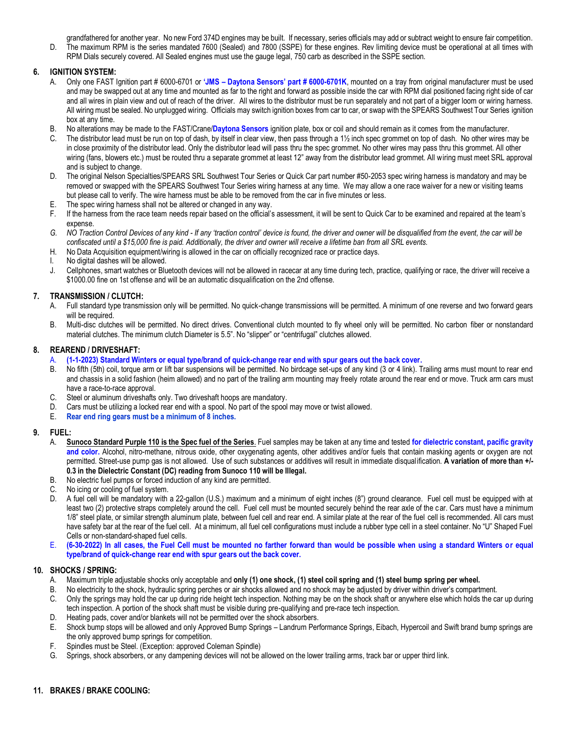grandfathered for another year. No new Ford 374D engines may be built.If necessary, series officials may add or subtract weight to ensure fair competition.

D. The maximum RPM is the series mandated 7600 (Sealed) and 7800 (SSPE) for these engines. Rev limiting device must be operational at all times with RPM Dials securely covered. All Sealed engines must use the gauge legal, 750 carb as described in the SSPE section.

### **6. IGNITION SYSTEM:**

- A. Only one FAST Ignition part # 6000-6701 or **'JMS – Daytona Sensors' part # 6000-6701K**, mounted on a tray from original manufacturer must be used and may be swapped out at any time and mounted as far to the right and forward as possible inside the car with RPM dial positioned facing right side of car and all wires in plain view and out of reach of the driver. All wires to the distributor must be run separately and not part of a bigger loom or wiring harness. All wiring must be sealed. No unplugged wiring. Officials may switch ignition boxes from car to car, or swap with the SPEARS Southwest Tour Series ignition box at any time.
- B. No alterations may be made to the FAST/Crane/**Daytona Sensors** ignition plate, box or coil and should remain as it comes from the manufacturer.
- C. The distributor lead must be run on top of dash, by itself in clear view, then pass through a 1½ inch spec grommet on top of dash. No other wires may be in close proximity of the distributor lead. Only the distributor lead will pass thru the spec grommet. No other wires may pass thru this grommet. All other wiring (fans, blowers etc.) must be routed thru a separate grommet at least 12" away from the distributor lead grommet. All wiring must meet SRL approval and is subject to change.
- D. The original Nelson Specialties/SPEARS SRL Southwest Tour Series or Quick Car part number #50-2053 spec wiring harness is mandatory and may be removed or swapped with the SPEARS Southwest Tour Series wiring harness at any time. We may allow a one race waiver for a new or visiting teams but please call to verify. The wire harness must be able to be removed from the car in five minutes or less.
- E. The spec wiring harness shall not be altered or changed in any way.
- F. If the harness from the race team needs repair based on the official's assessment, it will be sent to Quick Car to be examined and repaired at the team's expense.
- *G. NO Traction Control Devices of any kind - If any 'traction control' device is found, the driver and owner will be disqualified from the event, the car will be confiscated until a \$15,000 fine is paid. Additionally, the driver and owner will receive a lifetime ban from all SRL events.*
- H. No Data Acquisition equipment/wiring is allowed in the car on officially recognized race or practice days.
- I. No digital dashes will be allowed.
- J. Cellphones, smart watches or Bluetooth devices will not be allowed in racecar at any time during tech, practice, qualifying or race, the driver will receive a \$1000.00 fine on 1st offense and will be an automatic disqualification on the 2nd offense.

### **7. TRANSMISSION / CLUTCH:**

- A. Full standard type transmission only will be permitted. No quick-change transmissions will be permitted. A minimum of one reverse and two forward gears will be required.
- B. Multi-disc clutches will be permitted. No direct drives. Conventional clutch mounted to fly wheel only will be permitted. No carbon fiber or nonstandard material clutches. The minimum clutch Diameter is 5.5". No "slipper" or "centrifugal" clutches allowed.

#### **8. REAREND / DRIVESHAFT:**

- A. **(1-1-2023) Standard Winters or equal type/brand of quick-change rear end with spur gears out the back cover.**
- B. No fifth (5th) coil, torque arm or lift bar suspensions will be permitted. No birdcage set-ups of any kind (3 or 4 link). Trailing arms must mount to rear end and chassis in a solid fashion (heim allowed) and no part of the trailing arm mounting may freely rotate around the rear end or move. Truck arm cars must have a race-to-race approval.
- C. Steel or aluminum driveshafts only. Two driveshaft hoops are mandatory.
- D. Cars must be utilizing a locked rear end with a spool. No part of the spool may move or twist allowed.
- E. **Rear end ring gears must be a minimum of 8 inches.**

### **9. FUEL:**

- A. **Sunoco Standard Purple 110 is the Spec fuel of the Series**. Fuel samples may be taken at any time and tested **for dielectric constant, pacific gravity and color.** Alcohol, nitro-methane, nitrous oxide, other oxygenating agents, other additives and/or fuels that contain masking agents or oxygen are not permitted. Street-use pump gas is not allowed. Use of such substances or additives will result in immediate disqual ification. **A variation of more than +/- 0.3 in the Dielectric Constant (DC) reading from Sunoco 110 will be Illegal.**
- B. No electric fuel pumps or forced induction of any kind are permitted.
- C. No icing or cooling of fuel system.
- D. A fuel cell will be mandatory with a 22-gallon (U.S.) maximum and a minimum of eight inches (8") ground clearance. Fuel cell must be equipped with at least two (2) protective straps completely around the cell. Fuel cell must be mounted securely behind the rear axle of the car. Cars must have a minimum 1/8" steel plate, or similar strength aluminum plate, between fuel cell and rear end. A similar plate at the rear of the fuel cell is recommended. All cars must have safety bar at the rear of the fuel cell. At a minimum, all fuel cell configurations must include a rubber type cell in a steel container. No "U" Shaped Fuel Cells or non-standard-shaped fuel cells.
- E. **(6-30-2022) In all cases, the Fuel Cell must be mounted no farther forward than would be possible when using a standard Winters or equal type/brand of quick-change rear end with spur gears out the back cover.**

### **10. SHOCKS / SPRING:**

- A. Maximum triple adjustable shocks only acceptable and **only (1) one shock, (1) steel coil spring and (1) steel bump spring per wheel.**
- B. No electricity to the shock, hydraulic spring perches or air shocks allowed and no shock may be adjusted by driver within driver's compartment.
- C. Only the springs may hold the car up during ride height tech inspection. Nothing may be on the shock shaft or anywhere else which holds the car up during tech inspection. A portion of the shock shaft must be visible during pre-qualifying and pre-race tech inspection.
- D. Heating pads, cover and/or blankets will not be permitted over the shock absorbers.
- E. Shock bump stops will be allowed and only Approved Bump Springs Landrum Performance Springs, Eibach, Hypercoil and Swift brand bump springs are the only approved bump springs for competition.
- F. Spindles must be Steel. (Exception: approved Coleman Spindle)
- G. Springs, shock absorbers, or any dampening devices will not be allowed on the lower trailing arms, track bar or upper third link.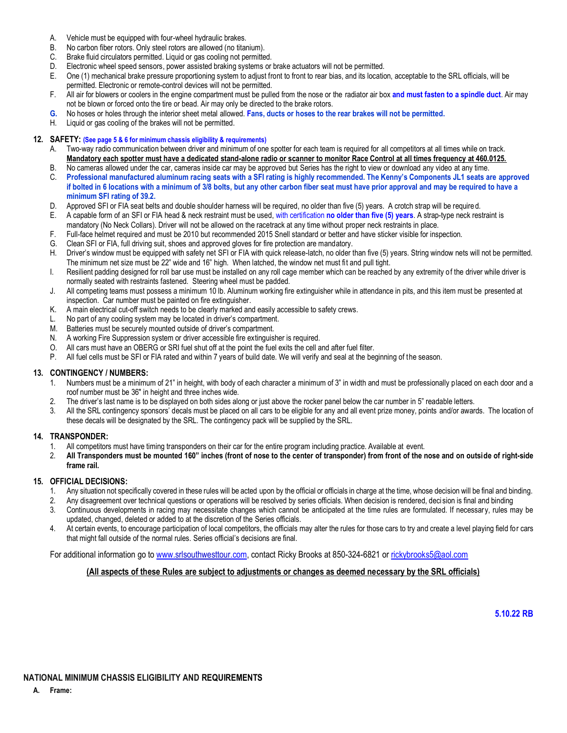- A. Vehicle must be equipped with four-wheel hydraulic brakes.
- B. No carbon fiber rotors. Only steel rotors are allowed (no titanium).
- C. Brake fluid circulators permitted. Liquid or gas cooling not permitted.
- D. Electronic wheel speed sensors, power assisted braking systems or brake actuators will not be permitted.
- E. One (1) mechanical brake pressure proportioning system to adjust front to front to rear bias, and its location, acceptable to the SRL officials, will be permitted. Electronic or remote-control devices will not be permitted.
- F. All air for blowers or coolers in the engine compartment must be pulled from the nose or the radiator air box **and must fasten to a spindle duct**. Air may not be blown or forced onto the tire or bead. Air may only be directed to the brake rotors.
- **G.** No hoses or holes through the interior sheet metal allowed. **Fans, ducts or hoses to the rear brakes will not be permitted.**
- H. Liquid or gas cooling of the brakes will not be permitted.

#### **12. SAFETY: (See page 5 & 6 for minimum chassis eligibility & requirements)**

- A. Two-way radio communication between driver and minimum of one spotter for each team is required for all competitors at all times while on track. **Mandatory each spotter must have a dedicated stand-alone radio or scanner to monitor Race Control at all times frequency at 460.0125.**
- B. No cameras allowed under the car, cameras inside car may be approved but Series has the right to view or download any video at any time.
- C. **Professional manufactured aluminum racing seats with a SFI rating is highly recommended. The Kenny's Components JL1 seats are approved if bolted in 6 locations with a minimum of 3/8 bolts, but any other carbon fiber seat must have prior approval and may be required to have a minimum SFI rating of 39.2.**
- D. Approved SFI or FIA seat belts and double shoulder harness will be required, no older than five (5) years. A crotch strap will be required.
- E. A capable form of an SFI or FIA head & neck restraint must be used, with certification **no older than five (5) years**. A strap-type neck restraint is mandatory (No Neck Collars). Driver will not be allowed on the racetrack at any time without proper neck restraints in place.
- F. Full-face helmet required and must be 2010 but recommended 2015 Snell standard or better and have sticker visible for inspection.
- G. Clean SFI or FIA, full driving suit, shoes and approved gloves for fire protection are mandatory.
- H. Driver's window must be equipped with safety net SFI or FIA with quick release-latch, no older than five (5) years. String window nets will not be permitted. The minimum net size must be 22" wide and 16" high. When latched, the window net must fit and pull tight.
- I. Resilient padding designed for roll bar use must be installed on any roll cage member which can be reached by any extremity of the driver while driver is normally seated with restraints fastened. Steering wheel must be padded.
- J. All competing teams must possess a minimum 10 lb. Aluminum working fire extinguisher while in attendance in pits, and this item must be presented at inspection. Car number must be painted on fire extinguisher.
- K. A main electrical cut-off switch needs to be clearly marked and easily accessible to safety crews.
- L. No part of any cooling system may be located in driver's compartment.
- M. Batteries must be securely mounted outside of driver's compartment.
- N. A working Fire Suppression system or driver accessible fire extinguisher is required.
- O. All cars must have an OBERG or SRI fuel shut off at the point the fuel exits the cell and after fuel filter.<br>P. All fuel cells must be SFI or FIA rated and within 7 years of build date. We will verify and seal at the be
- All fuel cells must be SFI or FIA rated and within 7 years of build date. We will verify and seal at the beginning of the season.

#### **13. CONTINGENCY / NUMBERS:**

- 1. Numbers must be a minimum of 21" in height, with body of each character a minimum of 3" in width and must be professionally placed on each door and a roof number must be 36" in height and three inches wide.
- 2. The driver's last name is to be displayed on both sides along or just above the rocker panel below the car number in 5" readable letters.<br>3. All the SBL contingency sponsors' decals must be placed on all cars to be elig
- All the SRL contingency sponsors' decals must be placed on all cars to be eligible for any and all event prize money, points and/or awards. The location of these decals will be designated by the SRL. The contingency pack will be supplied by the SRL.

### **14. TRANSPONDER:**

- 1. All competitors must have timing transponders on their car for the entire program including practice. Available at event.
- 2. **All Transponders must be mounted 160" inches (front of nose to the center of transponder) from front of the nose and on outside of right-side frame rail.**

#### **15. OFFICIAL DECISIONS:**

- 1. Any situation not specifically covered in these rules will be acted upon by the official or officials in charge at the time, whose decision will be final and binding.
- 2. Any disagreement over technical questions or operations will be resolved by series officials. When decision is rendered, deci sion is final and binding
- 3. Continuous developments in racing may necessitate changes which cannot be anticipated at the time rules are formulated. If necessary, rules may be updated, changed, deleted or added to at the discretion of the Series officials.
- 4. At certain events, to encourage participation of local competitors, the officials may alter the rules for those cars to try and create a level playing field for cars that might fall outside of the normal rules. Series official's decisions are final.

For additional information go to [www.srlsouthwesttour.com,](http://www.srlsouthwesttour.com/) contact Ricky Brooks at 850-324-6821 o[r rickybrooks5@aol.com](mailto:rickybrooks5@aol.com)

### **(All aspects of these Rules are subject to adjustments or changes as deemed necessary by the SRL officials)**

**5.10.22 RB**